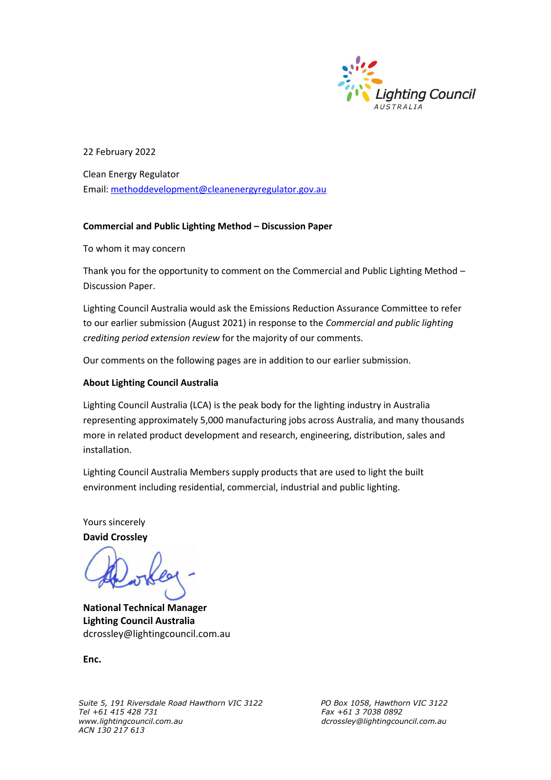

22 February 2022

Clean Energy Regulator Email: [methoddevelopment@cleanenergyregulator.gov.au](mailto:methoddevelopment@cleanenergyregulator.gov.au)

#### **Commercial and Public Lighting Method – Discussion Paper**

To whom it may concern

Thank you for the opportunity to comment on the Commercial and Public Lighting Method – Discussion Paper.

Lighting Council Australia would ask the Emissions Reduction Assurance Committee to refer to our earlier submission (August 2021) in response to the *Commercial and public lighting crediting period extension review* for the majority of our comments.

Our comments on the following pages are in addition to our earlier submission.

#### **About Lighting Council Australia**

Lighting Council Australia (LCA) is the peak body for the lighting industry in Australia representing approximately 5,000 manufacturing jobs across Australia, and many thousands more in related product development and research, engineering, distribution, sales and installation.

Lighting Council Australia Members supply products that are used to light the built environment including residential, commercial, industrial and public lighting.

Yours sincerely

**David Crossley**

**National Technical Manager Lighting Council Australia**  dcrossley@lightingcouncil.com.au

**Enc.**

*Suite 5, 191 Riversdale Road Hawthorn VIC 3122 PO Box 1058, Hawthorn VIC 3122 Tel +61 415 428 731 Fax +61 3 7038 0892 ACN 130 217 613*

*www.lightingcouncil.com.au dcrossley@lightingcouncil.com.au*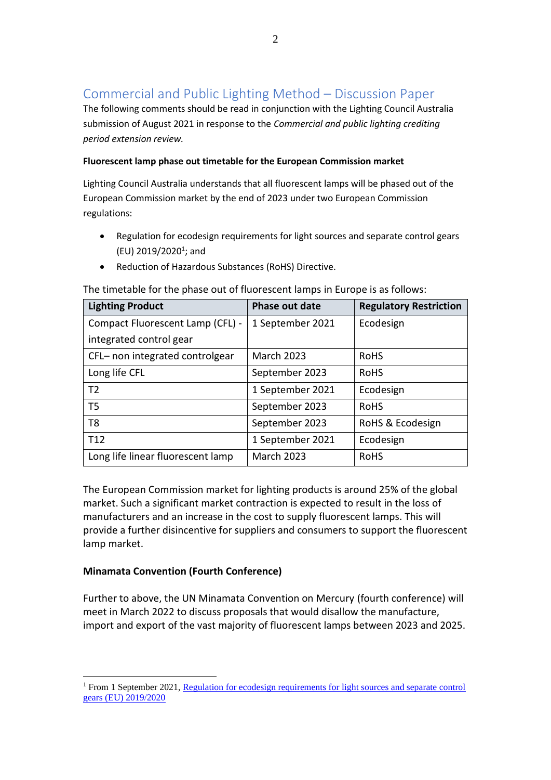# Commercial and Public Lighting Method – Discussion Paper

The following comments should be read in conjunction with the Lighting Council Australia submission of August 2021 in response to the *Commercial and public lighting crediting period extension review.*

## **Fluorescent lamp phase out timetable for the European Commission market**

Lighting Council Australia understands that all fluorescent lamps will be phased out of the European Commission market by the end of 2023 under two European Commission regulations:

- Regulation for ecodesign requirements for light sources and separate control gears (EU) 2019/2020<sup>1</sup>; and
- Reduction of Hazardous Substances (RoHS) Directive.

| <b>Lighting Product</b>           | <b>Phase out date</b> | <b>Regulatory Restriction</b> |  |
|-----------------------------------|-----------------------|-------------------------------|--|
| Compact Fluorescent Lamp (CFL) -  | 1 September 2021      | Ecodesign                     |  |
| integrated control gear           |                       |                               |  |
| CFL- non integrated controlgear   | <b>March 2023</b>     | <b>RoHS</b>                   |  |
| Long life CFL                     | September 2023        | <b>RoHS</b>                   |  |
| T <sub>2</sub>                    | 1 September 2021      | Ecodesign                     |  |
| T <sub>5</sub>                    | September 2023        | <b>RoHS</b>                   |  |
| T <sub>8</sub>                    | September 2023        | RoHS & Ecodesign              |  |
| T <sub>12</sub>                   | 1 September 2021      | Ecodesign                     |  |
| Long life linear fluorescent lamp | <b>March 2023</b>     | <b>RoHS</b>                   |  |

The timetable for the phase out of fluorescent lamps in Europe is as follows:

The European Commission market for lighting products is around 25% of the global market. Such a significant market contraction is expected to result in the loss of manufacturers and an increase in the cost to supply fluorescent lamps. This will provide a further disincentive for suppliers and consumers to support the fluorescent lamp market.

# **Minamata Convention (Fourth Conference)**

Further to above, the UN Minamata Convention on Mercury (fourth conference) will meet in March 2022 to discuss proposals that would disallow the manufacture, import and export of the vast majority of fluorescent lamps between 2023 and 2025.

<sup>&</sup>lt;sup>1</sup> From 1 September 2021, Regulation for ecodesign requirements for light sources and separate control [gears \(EU\) 2019/2020](https://eur-lex.europa.eu/legal-content/EN/TXT/?uri=uriserv:OJ.L_.2019.315.01.0209.01.ENG&toc=OJ:L:2019:315:TOC)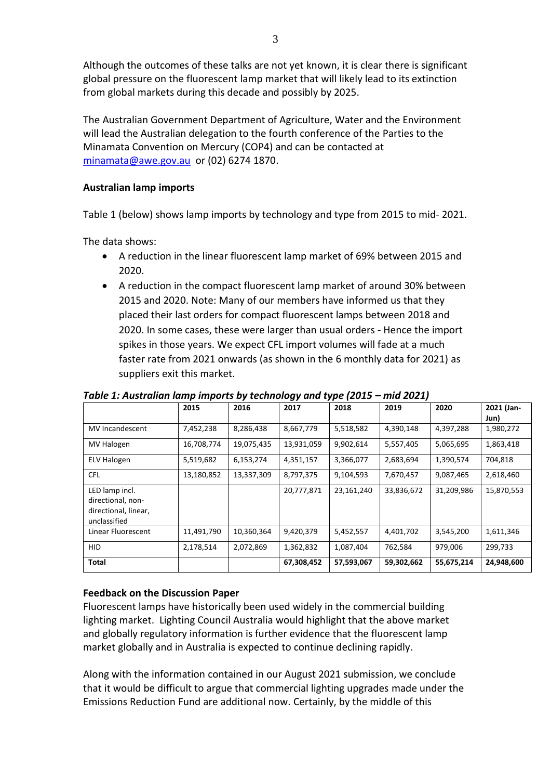Although the outcomes of these talks are not yet known, it is clear there is significant global pressure on the fluorescent lamp market that will likely lead to its extinction from global markets during this decade and possibly by 2025.

The Australian Government Department of Agriculture, Water and the Environment will lead the Australian delegation to the fourth conference of the Parties to the Minamata Convention on Mercury (COP4) and can be contacted at [minamata@awe.gov.au](mailto:minamata@awe.gov.au) or (02) 6274 1870.

## **Australian lamp imports**

Table 1 (below) shows lamp imports by technology and type from 2015 to mid- 2021.

The data shows:

- A reduction in the linear fluorescent lamp market of 69% between 2015 and 2020.
- A reduction in the compact fluorescent lamp market of around 30% between 2015 and 2020. Note: Many of our members have informed us that they placed their last orders for compact fluorescent lamps between 2018 and 2020. In some cases, these were larger than usual orders - Hence the import spikes in those years. We expect CFL import volumes will fade at a much faster rate from 2021 onwards (as shown in the 6 monthly data for 2021) as suppliers exit this market.

|                                                                             | 2015       | 2016       | - -<br>2017 | . .<br>2018 | 2019       | 2020       | 2021 (Jan-<br>Jun) |
|-----------------------------------------------------------------------------|------------|------------|-------------|-------------|------------|------------|--------------------|
| <b>MV</b> Incandescent                                                      | 7,452,238  | 8,286,438  | 8,667,779   | 5,518,582   | 4,390,148  | 4,397,288  | 1,980,272          |
| MV Halogen                                                                  | 16,708,774 | 19,075,435 | 13,931,059  | 9,902,614   | 5,557,405  | 5,065,695  | 1,863,418          |
| <b>ELV Halogen</b>                                                          | 5,519,682  | 6,153,274  | 4,351,157   | 3,366,077   | 2,683,694  | 1,390,574  | 704,818            |
| <b>CFL</b>                                                                  | 13,180,852 | 13,337,309 | 8,797,375   | 9,104,593   | 7,670,457  | 9,087,465  | 2,618,460          |
| LED lamp incl.<br>directional, non-<br>directional, linear,<br>unclassified |            |            | 20,777,871  | 23,161,240  | 33,836,672 | 31,209,986 | 15,870,553         |
| Linear Fluorescent                                                          | 11,491,790 | 10,360,364 | 9,420,379   | 5,452,557   | 4,401,702  | 3,545,200  | 1,611,346          |
| HID.                                                                        | 2,178,514  | 2,072,869  | 1,362,832   | 1,087,404   | 762,584    | 979,006    | 299,733            |
| Total                                                                       |            |            | 67,308,452  | 57,593,067  | 59,302,662 | 55,675,214 | 24,948,600         |

*Table 1: Australian lamp imports by technology and type (2015 – mid 2021)*

### **Feedback on the Discussion Paper**

Fluorescent lamps have historically been used widely in the commercial building lighting market. Lighting Council Australia would highlight that the above market and globally regulatory information is further evidence that the fluorescent lamp market globally and in Australia is expected to continue declining rapidly.

Along with the information contained in our August 2021 submission, we conclude that it would be difficult to argue that commercial lighting upgrades made under the Emissions Reduction Fund are additional now. Certainly, by the middle of this